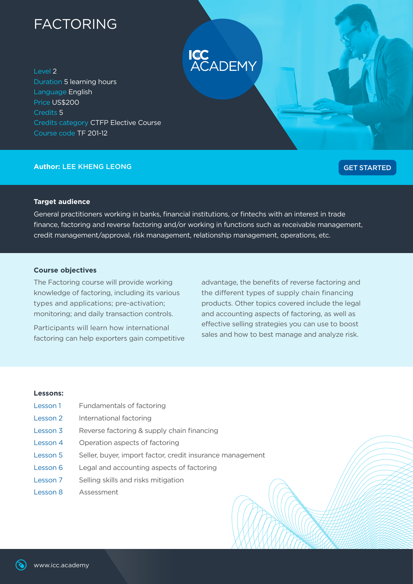# FACTORING

Level 2 Duration 5 learning hours Language English Price US\$200 Credits 5 Credits category CTFP Elective Course Course code TF 201-12

# **Author:** LEE KHENG LEONG

# [GET STARTED](https://learning.icc.academy/course/view.php?id=101)

# **Target audience**

General practitioners working in banks, financial institutions, or fintechs with an interest in trade finance, factoring and reverse factoring and/or working in functions such as receivable management, credit management/approval, risk management, relationship management, operations, etc.

**ICC**<br>ACADEMY

## **Course objectives**

The Factoring course will provide working knowledge of factoring, including its various types and applications; pre-activation; monitoring; and daily transaction controls.

Participants will learn how international factoring can help exporters gain competitive advantage, the benefits of reverse factoring and the different types of supply chain financing products. Other topics covered include the legal and accounting aspects of factoring, as well as effective selling strategies you can use to boost sales and how to best manage and analyze risk.

#### **Lessons:**

Lesson 1 Fundamentals of factoring Lesson 2 International factoring Lesson 3 Reverse factoring & supply chain financing Lesson 4 Operation aspects of factoring Lesson 5 Seller, buyer, import factor, credit insurance management Lesson 6 Legal and accounting aspects of factoring Lesson 7 Selling skills and risks mitigation Lesson 8 Assessment